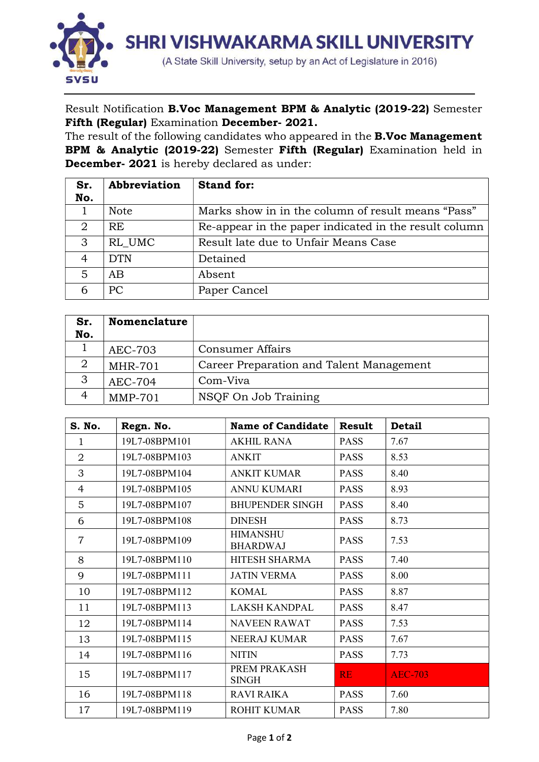

Result Notification B.Voc Management BPM & Analytic (2019-22) Semester Fifth (Regular) Examination December- 2021.

The result of the following candidates who appeared in the **B.Voc Management** BPM & Analytic (2019-22) Semester Fifth (Regular) Examination held in December- 2021 is hereby declared as under:

| Sr. | Abbreviation | <b>Stand for:</b>                                     |  |  |  |  |  |
|-----|--------------|-------------------------------------------------------|--|--|--|--|--|
| No. |              |                                                       |  |  |  |  |  |
|     | <b>Note</b>  | Marks show in in the column of result means "Pass"    |  |  |  |  |  |
| 2   | RE.          | Re-appear in the paper indicated in the result column |  |  |  |  |  |
| 3   | RL UMC       | Result late due to Unfair Means Case                  |  |  |  |  |  |
| 4   | <b>DTN</b>   | Detained                                              |  |  |  |  |  |
| 5   | AB           | Absent                                                |  |  |  |  |  |
|     | <b>PC</b>    | Paper Cancel                                          |  |  |  |  |  |

| Sr.<br>No. | <b>Nomenclature</b> |                                          |
|------------|---------------------|------------------------------------------|
|            | AEC-703             | <b>Consumer Affairs</b>                  |
|            | <b>MHR-701</b>      | Career Preparation and Talent Management |
| 3          | AEC-704             | Com-Viva                                 |
|            | $MMP-701$           | NSQF On Job Training                     |

| S. No.         | Regn. No.     | Name of Candidate                  | <b>Result</b> | <b>Detail</b>  |
|----------------|---------------|------------------------------------|---------------|----------------|
| $\mathbf{1}$   | 19L7-08BPM101 | <b>AKHIL RANA</b>                  | <b>PASS</b>   | 7.67           |
| $\overline{2}$ | 19L7-08BPM103 | <b>ANKIT</b>                       | <b>PASS</b>   | 8.53           |
| 3              | 19L7-08BPM104 | <b>ANKIT KUMAR</b>                 | <b>PASS</b>   | 8.40           |
| $\overline{4}$ | 19L7-08BPM105 | <b>ANNU KUMARI</b>                 | <b>PASS</b>   | 8.93           |
| 5              | 19L7-08BPM107 | <b>BHUPENDER SINGH</b>             | <b>PASS</b>   | 8.40           |
| 6              | 19L7-08BPM108 | <b>DINESH</b>                      | <b>PASS</b>   | 8.73           |
| $\overline{7}$ | 19L7-08BPM109 | <b>HIMANSHU</b><br><b>BHARDWAJ</b> | <b>PASS</b>   | 7.53           |
| 8              | 19L7-08BPM110 | HITESH SHARMA                      | <b>PASS</b>   | 7.40           |
| 9              | 19L7-08BPM111 | <b>JATIN VERMA</b>                 | <b>PASS</b>   | 8.00           |
| 10             | 19L7-08BPM112 | <b>KOMAL</b>                       | <b>PASS</b>   | 8.87           |
| 11             | 19L7-08BPM113 | <b>LAKSH KANDPAL</b>               | <b>PASS</b>   | 8.47           |
| 12             | 19L7-08BPM114 | <b>NAVEEN RAWAT</b>                | <b>PASS</b>   | 7.53           |
| 13             | 19L7-08BPM115 | NEERAJ KUMAR                       | <b>PASS</b>   | 7.67           |
| 14             | 19L7-08BPM116 | <b>NITIN</b>                       | <b>PASS</b>   | 7.73           |
| 15             | 19L7-08BPM117 | PREM PRAKASH<br><b>SINGH</b>       | <b>RE</b>     | <b>AEC-703</b> |
| 16             | 19L7-08BPM118 | <b>RAVI RAIKA</b>                  | <b>PASS</b>   | 7.60           |
| 17             | 19L7-08BPM119 | <b>ROHIT KUMAR</b>                 | <b>PASS</b>   | 7.80           |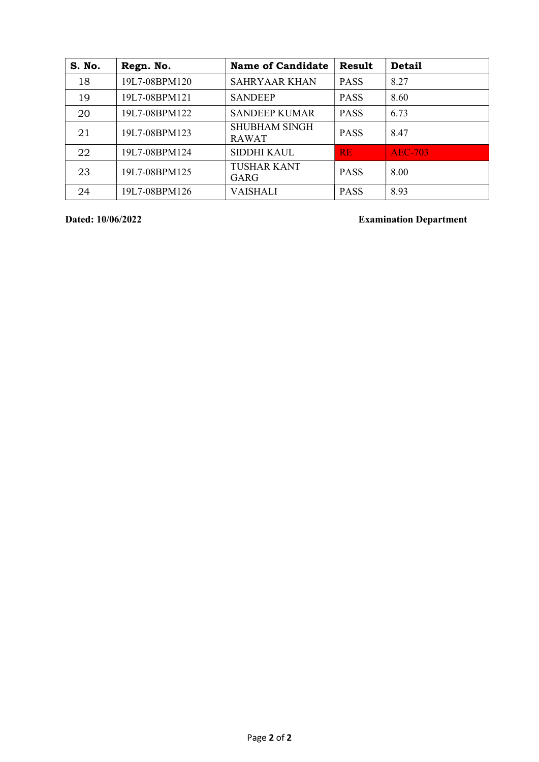| S. No. | Regn. No.     | <b>Name of Candidate</b>             | Result      | <b>Detail</b>  |
|--------|---------------|--------------------------------------|-------------|----------------|
| 18     | 19L7-08BPM120 | <b>SAHRYAAR KHAN</b>                 | <b>PASS</b> | 8.27           |
| 19     | 19L7-08BPM121 | <b>SANDEEP</b>                       | <b>PASS</b> | 8.60           |
| 20     | 19L7-08BPM122 | <b>SANDEEP KUMAR</b>                 | <b>PASS</b> | 6.73           |
| 21     | 19L7-08BPM123 | <b>SHUBHAM SINGH</b><br><b>RAWAT</b> | <b>PASS</b> | 8.47           |
| 22     | 19L7-08BPM124 | SIDDHI KAUL                          | RE.         | <b>AEC-703</b> |
| 23     | 19L7-08BPM125 | <b>TUSHAR KANT</b><br>GARG           | <b>PASS</b> | 8.00           |
| 24     | 19L7-08BPM126 | <b>VAISHALI</b>                      | <b>PASS</b> | 8.93           |

Dated: 10/06/2022 Examination Department